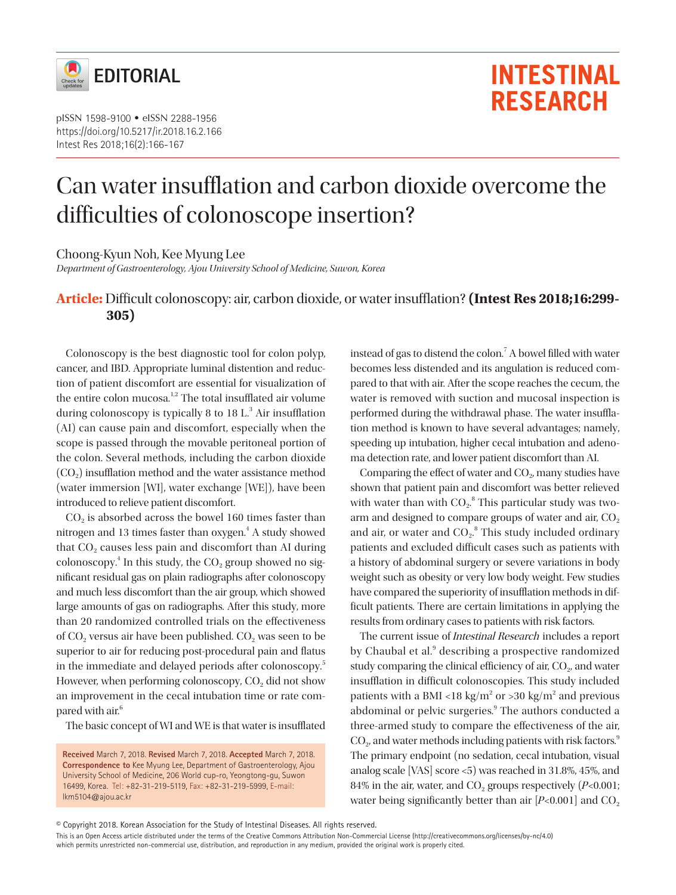

pISSN 1598-9100 • eISSN 2288-1956 https://doi.org/10.5217/ir.2018.16.2.166 Intest Res 2018;16(2):166-167

# Can water insufflation and carbon dioxide overcome the difficulties of colonoscope insertion?

Choong-Kyun Noh, Kee Myung Lee

*Department of Gastroenterology, Ajou University School of Medicine, Suwon, Korea*

## **Article:** Difficult colonoscopy: air, carbon dioxide, or water insufflation? **(Intest Res 2018;16:299- 305)**

Colonoscopy is the best diagnostic tool for colon polyp, cancer, and IBD. Appropriate luminal distention and reduction of patient discomfort are essential for visualization of the entire colon mucosa.<sup>1,2</sup> The total insufflated air volume during colonoscopy is typically 8 to 18 L.<sup>3</sup> Air insufflation (AI) can cause pain and discomfort, especially when the scope is passed through the movable peritoneal portion of the colon. Several methods, including the carbon dioxide  $(CO<sub>2</sub>)$  insufflation method and the water assistance method (water immersion [WI], water exchange [WE]), have been introduced to relieve patient discomfort.

 $CO<sub>2</sub>$  is absorbed across the bowel 160 times faster than nitrogen and 13 times faster than oxygen.<sup>4</sup> A study showed that  $CO<sub>2</sub>$  causes less pain and discomfort than AI during colonoscopy.<sup>4</sup> In this study, the  $CO<sub>2</sub>$  group showed no significant residual gas on plain radiographs after colonoscopy and much less discomfort than the air group, which showed large amounts of gas on radiographs. After this study, more than 20 randomized controlled trials on the effectiveness of CO<sub>2</sub> versus air have been published. CO<sub>2</sub> was seen to be superior to air for reducing post-procedural pain and flatus in the immediate and delayed periods after colonoscopy.<sup>5</sup> However, when performing colonoscopy, CO<sub>2</sub> did not show an improvement in the cecal intubation time or rate compared with air.<sup>6</sup>

The basic concept of WI and WE is that water is insufflated

**Received** March 7, 2018. **Revised** March 7, 2018. **Accepted** March 7, 2018. **Correspondence to** Kee Myung Lee, Department of Gastroenterology, Ajou University School of Medicine, 206 World cup-ro, Yeongtong-gu, Suwon 16499, Korea. Tel: +82-31-219-5119, Fax: +82-31-219-5999, E-mail: lkm5104@ajou.ac.kr

instead of gas to distend the colon.<sup>7</sup> A bowel filled with water becomes less distended and its angulation is reduced compared to that with air. After the scope reaches the cecum, the water is removed with suction and mucosal inspection is performed during the withdrawal phase. The water insufflation method is known to have several advantages; namely, speeding up intubation, higher cecal intubation and adenoma detection rate, and lower patient discomfort than AI.

**INTESTINAL** 

**RESEARCH** 

Comparing the effect of water and CO<sub>2</sub>, many studies have shown that patient pain and discomfort was better relieved with water than with  $CO_2$ .<sup>8</sup> This particular study was twoarm and designed to compare groups of water and air, CO<sub>2</sub> and air, or water and  $CO<sub>2</sub>$ .<sup>8</sup> This study included ordinary patients and excluded difficult cases such as patients with a history of abdominal surgery or severe variations in body weight such as obesity or very low body weight. Few studies have compared the superiority of insufflation methods in difficult patients. There are certain limitations in applying the results from ordinary cases to patients with risk factors.

The current issue of Intestinal Research includes a report by Chaubal et al.<sup>9</sup> describing a prospective randomized study comparing the clinical efficiency of air, CO<sub>2</sub>, and water insufflation in difficult colonoscopies. This study included patients with a BMI <18 kg/m<sup>2</sup> or >30 kg/m<sup>2</sup> and previous abdominal or pelvic surgeries.<sup>9</sup> The authors conducted a three-armed study to compare the effectiveness of the air,  $CO<sub>2</sub>$ , and water methods including patients with risk factors.<sup>9</sup> The primary endpoint (no sedation, cecal intubation, visual analog scale [VAS] score <5) was reached in 31.8%, 45%, and 84% in the air, water, and CO<sub>2</sub> groups respectively  $(P<0.001)$ ; water being significantly better than air  $[P<0.001]$  and CO<sub>2</sub>

© Copyright 2018. Korean Association for the Study of Intestinal Diseases. All rights reserved.

This is an Open Access article distributed under the terms of the Creative Commons Attribution Non-Commercial License (http://creativecommons.org/licenses/by-nc/4.0) which permits unrestricted non-commercial use, distribution, and reproduction in any medium, provided the original work is properly cited.